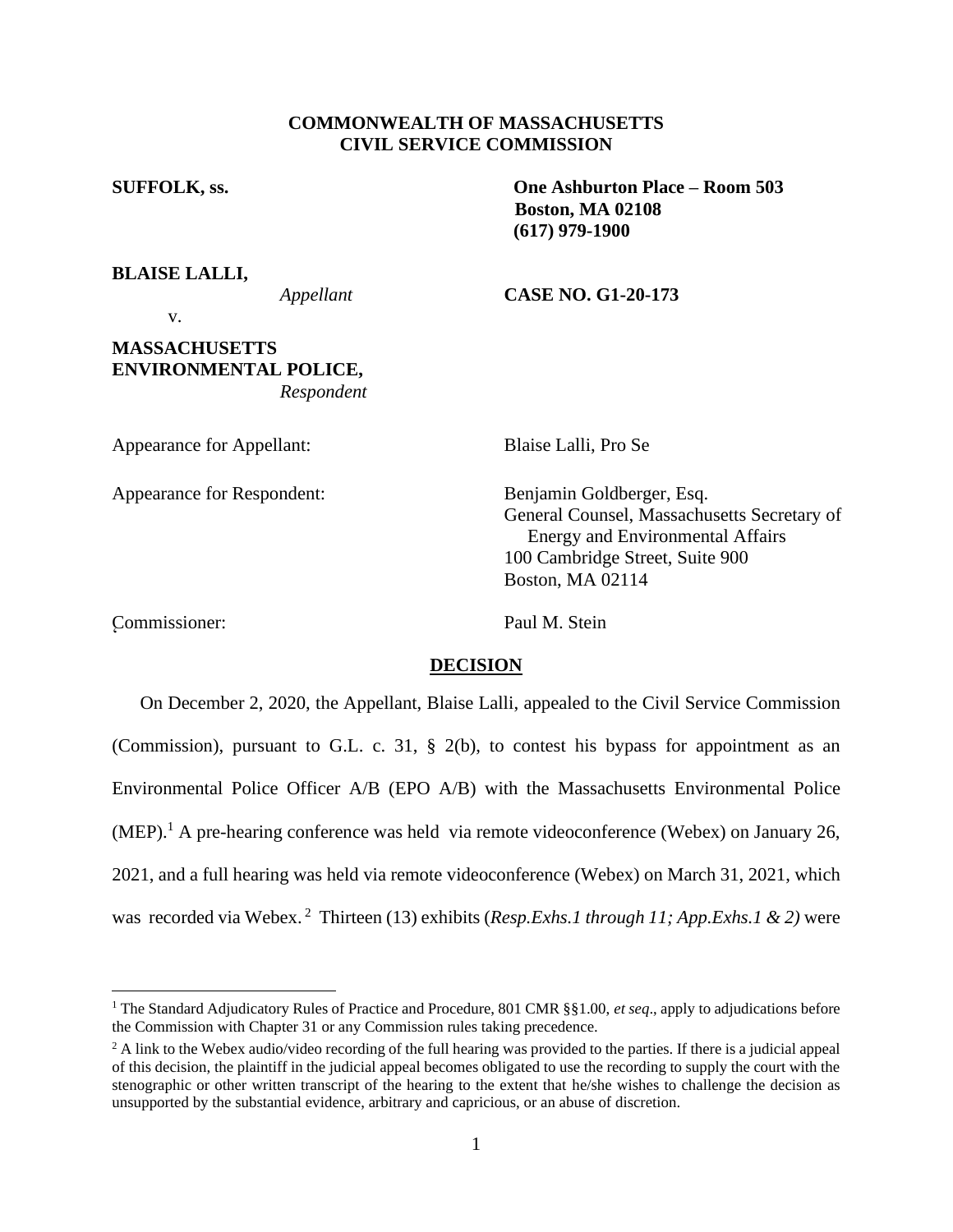## **COMMONWEALTH OF MASSACHUSETTS CIVIL SERVICE COMMISSION**

**SUFFOLK, ss. One Ashburton Place – Room 503 Boston, MA 02108 (617) 979-1900**

**BLAISE LALLI,**

*Appellant* **CASE NO. G1-20-173**

v.

# **MASSACHUSETTS ENVIRONMENTAL POLICE,** *Respondent*

Appearance for Appellant: Blaise Lalli, Pro Se

Appearance for Respondent: Benjamin Goldberger, Esq.

General Counsel, Massachusetts Secretary of Energy and Environmental Affairs 100 Cambridge Street, Suite 900 Boston, MA 02114

Commissioner: Paul M. Stein

# **DECISION**

On December 2, 2020, the Appellant, Blaise Lalli, appealed to the Civil Service Commission (Commission), pursuant to G.L. c. 31, § 2(b), to contest his bypass for appointment as an Environmental Police Officer A/B (EPO A/B) with the Massachusetts Environmental Police  $(MEP).<sup>1</sup>$  A pre-hearing conference was held via remote videoconference (Webex) on January 26, 2021, and a full hearing was held via remote videoconference (Webex) on March 31, 2021, which was recorded via Webex. <sup>2</sup> Thirteen (13) exhibits (*Resp.Exhs.1 through 11; App.Exhs.1 & 2)* were

<sup>&</sup>lt;sup>1</sup> The Standard Adjudicatory Rules of Practice and Procedure, 801 CMR §§1.00, et seq., apply to adjudications before the Commission with Chapter 31 or any Commission rules taking precedence.

<sup>&</sup>lt;sup>2</sup> A link to the Webex audio/video recording of the full hearing was provided to the parties. If there is a judicial appeal of this decision, the plaintiff in the judicial appeal becomes obligated to use the recording to supply the court with the stenographic or other written transcript of the hearing to the extent that he/she wishes to challenge the decision as unsupported by the substantial evidence, arbitrary and capricious, or an abuse of discretion.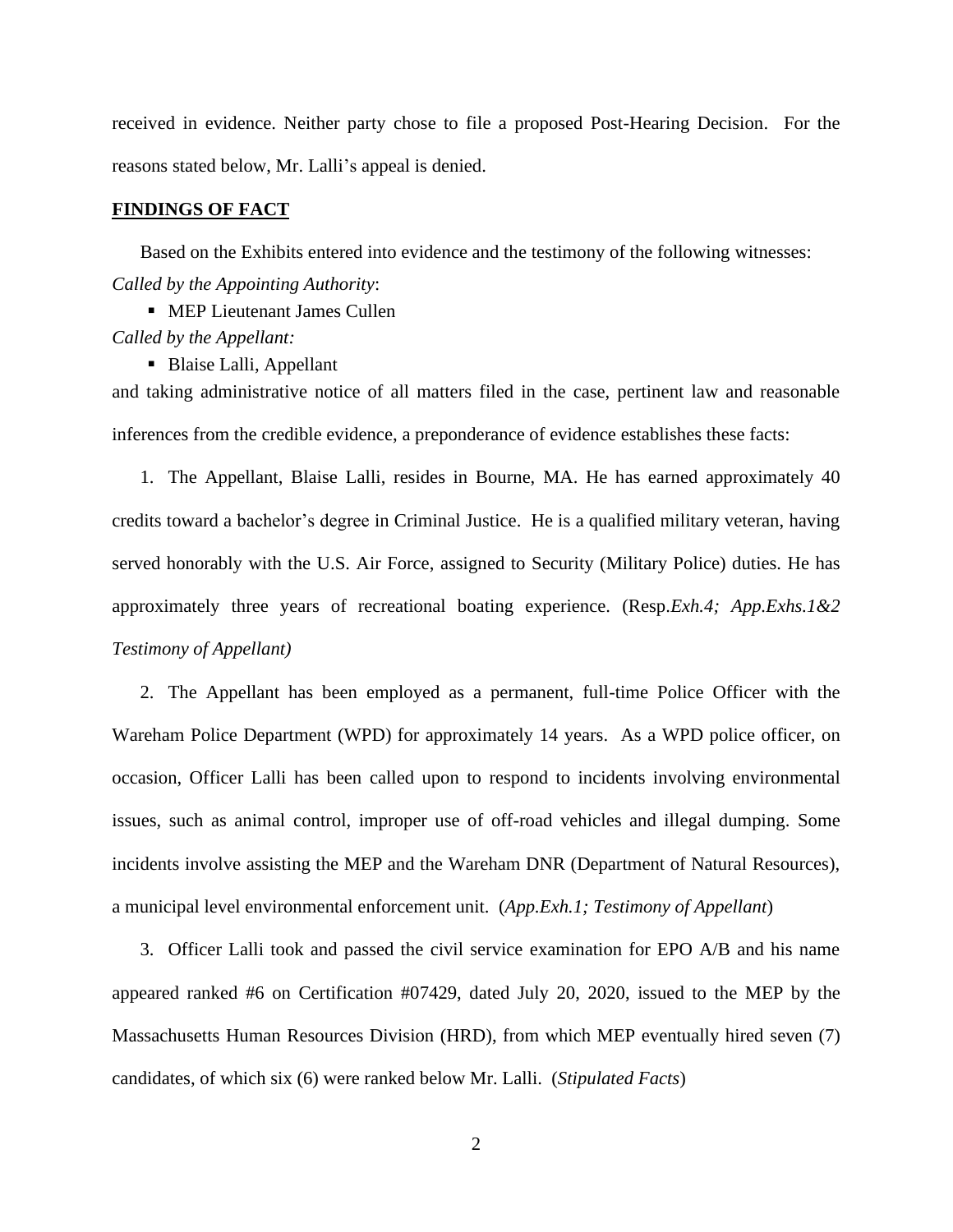received in evidence. Neither party chose to file a proposed Post-Hearing Decision. For the reasons stated below, Mr. Lalli's appeal is denied.

#### **FINDINGS OF FACT**

Based on the Exhibits entered into evidence and the testimony of the following witnesses: *Called by the Appointing Authority*:

■ MEP Lieutenant James Cullen *Called by the Appellant:*

■ Blaise Lalli, Appellant

and taking administrative notice of all matters filed in the case, pertinent law and reasonable inferences from the credible evidence, a preponderance of evidence establishes these facts:

1. The Appellant, Blaise Lalli, resides in Bourne, MA. He has earned approximately 40 credits toward a bachelor's degree in Criminal Justice. He is a qualified military veteran, having served honorably with the U.S. Air Force, assigned to Security (Military Police) duties. He has approximately three years of recreational boating experience. (Resp.*Exh.4; App.Exhs.1&2 Testimony of Appellant)*

2. The Appellant has been employed as a permanent, full-time Police Officer with the Wareham Police Department (WPD) for approximately 14 years. As a WPD police officer, on occasion, Officer Lalli has been called upon to respond to incidents involving environmental issues, such as animal control, improper use of off-road vehicles and illegal dumping. Some incidents involve assisting the MEP and the Wareham DNR (Department of Natural Resources), a municipal level environmental enforcement unit. (*App.Exh.1; Testimony of Appellant*)

3. Officer Lalli took and passed the civil service examination for EPO A/B and his name appeared ranked #6 on Certification #07429, dated July 20, 2020, issued to the MEP by the Massachusetts Human Resources Division (HRD), from which MEP eventually hired seven (7) candidates, of which six (6) were ranked below Mr. Lalli. (*Stipulated Facts*)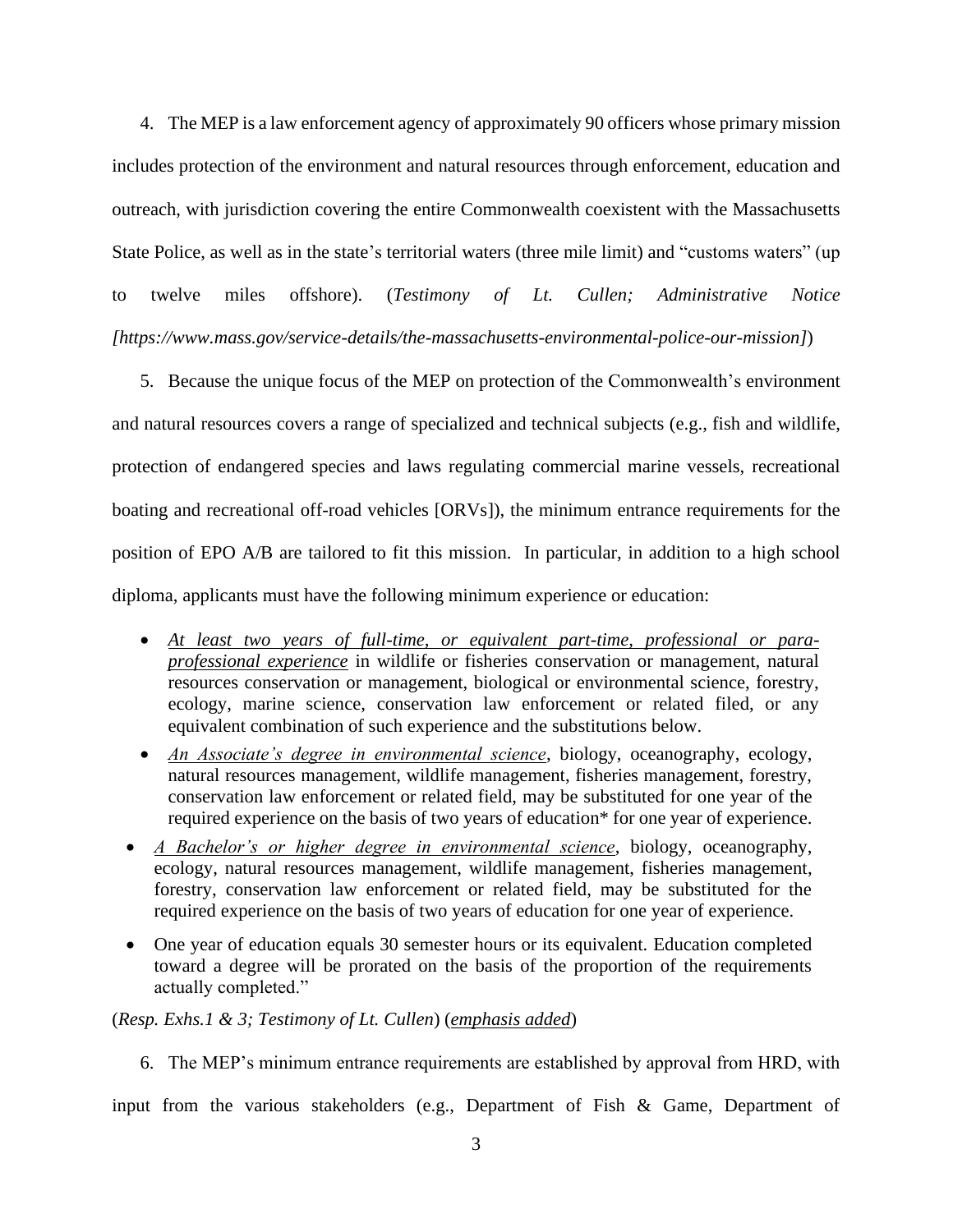4. The MEP is a law enforcement agency of approximately 90 officers whose primary mission includes protection of the environment and natural resources through enforcement, education and outreach, with jurisdiction covering the entire Commonwealth coexistent with the Massachusetts State Police, as well as in the state's territorial waters (three mile limit) and "customs waters" (up to twelve miles offshore). (*Testimony of Lt. Cullen; Administrative Notice [https://www.mass.gov/service-details/the-massachusetts-environmental-police-our-mission]*)

5. Because the unique focus of the MEP on protection of the Commonwealth's environment and natural resources covers a range of specialized and technical subjects (e.g., fish and wildlife, protection of endangered species and laws regulating commercial marine vessels, recreational boating and recreational off-road vehicles [ORVs]), the minimum entrance requirements for the position of EPO A/B are tailored to fit this mission. In particular, in addition to a high school diploma, applicants must have the following minimum experience or education:

- *At least two years of full-time, or equivalent part-time, professional or paraprofessional experience* in wildlife or fisheries conservation or management, natural resources conservation or management, biological or environmental science, forestry, ecology, marine science, conservation law enforcement or related filed, or any equivalent combination of such experience and the substitutions below.
- *An Associate's degree in environmental science*, biology, oceanography, ecology, natural resources management, wildlife management, fisheries management, forestry, conservation law enforcement or related field, may be substituted for one year of the required experience on the basis of two years of education\* for one year of experience.
- *A Bachelor's or higher degree in environmental science*, biology, oceanography, ecology, natural resources management, wildlife management, fisheries management, forestry, conservation law enforcement or related field, may be substituted for the required experience on the basis of two years of education for one year of experience.
- One year of education equals 30 semester hours or its equivalent. Education completed toward a degree will be prorated on the basis of the proportion of the requirements actually completed."

(*Resp. Exhs.1 & 3; Testimony of Lt. Cullen*) (*emphasis added*)

6. The MEP's minimum entrance requirements are established by approval from HRD, with

input from the various stakeholders (e.g., Department of Fish & Game, Department of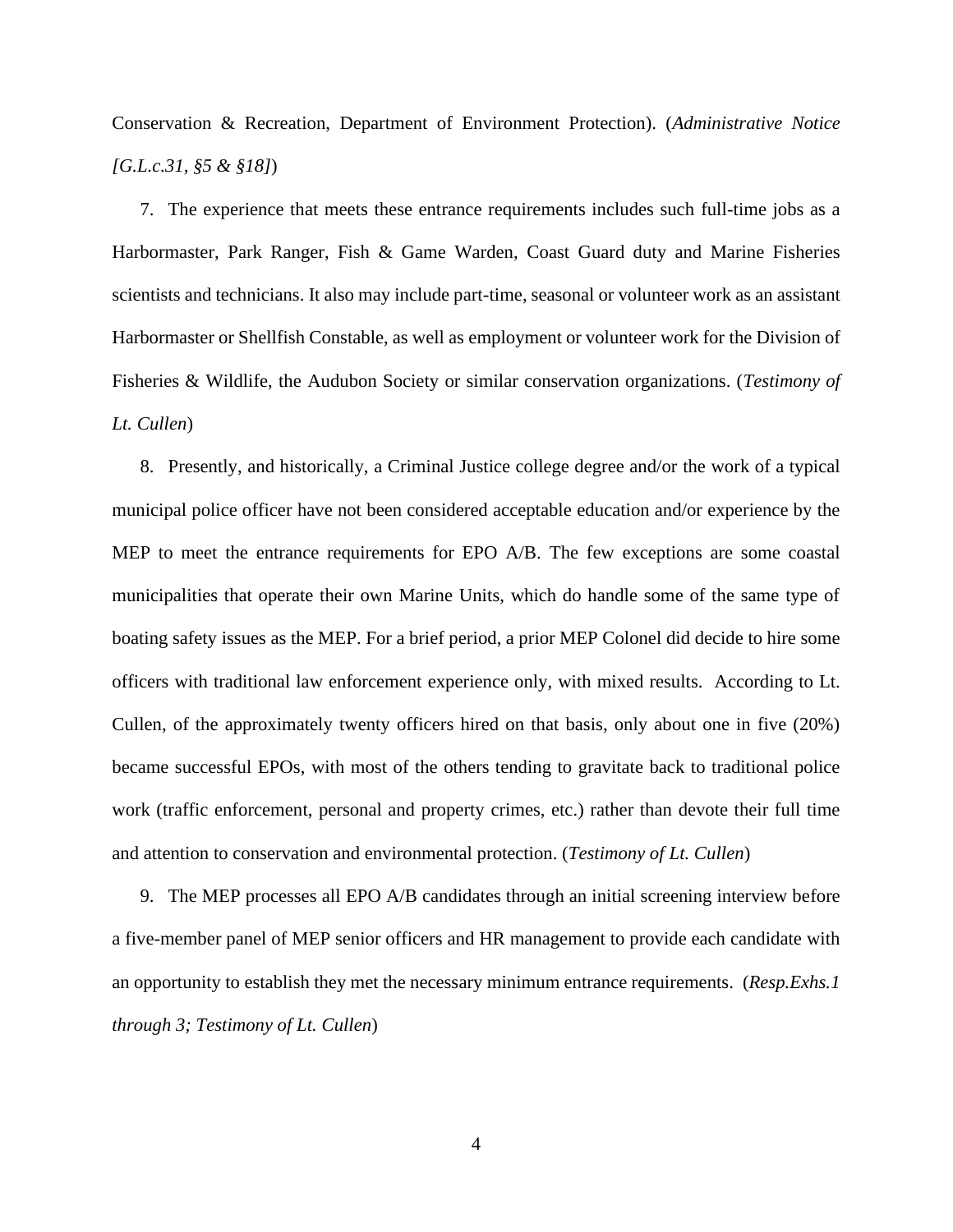Conservation & Recreation, Department of Environment Protection). (*Administrative Notice [G.L.c.31, §5 & §18]*)

7. The experience that meets these entrance requirements includes such full-time jobs as a Harbormaster, Park Ranger, Fish & Game Warden, Coast Guard duty and Marine Fisheries scientists and technicians. It also may include part-time, seasonal or volunteer work as an assistant Harbormaster or Shellfish Constable, as well as employment or volunteer work for the Division of Fisheries & Wildlife, the Audubon Society or similar conservation organizations. (*Testimony of Lt. Cullen*)

8. Presently, and historically, a Criminal Justice college degree and/or the work of a typical municipal police officer have not been considered acceptable education and/or experience by the MEP to meet the entrance requirements for EPO A/B. The few exceptions are some coastal municipalities that operate their own Marine Units, which do handle some of the same type of boating safety issues as the MEP. For a brief period, a prior MEP Colonel did decide to hire some officers with traditional law enforcement experience only, with mixed results. According to Lt. Cullen, of the approximately twenty officers hired on that basis, only about one in five (20%) became successful EPOs, with most of the others tending to gravitate back to traditional police work (traffic enforcement, personal and property crimes, etc.) rather than devote their full time and attention to conservation and environmental protection. (*Testimony of Lt. Cullen*)

9. The MEP processes all EPO A/B candidates through an initial screening interview before a five-member panel of MEP senior officers and HR management to provide each candidate with an opportunity to establish they met the necessary minimum entrance requirements. (*Resp.Exhs.1 through 3; Testimony of Lt. Cullen*)

4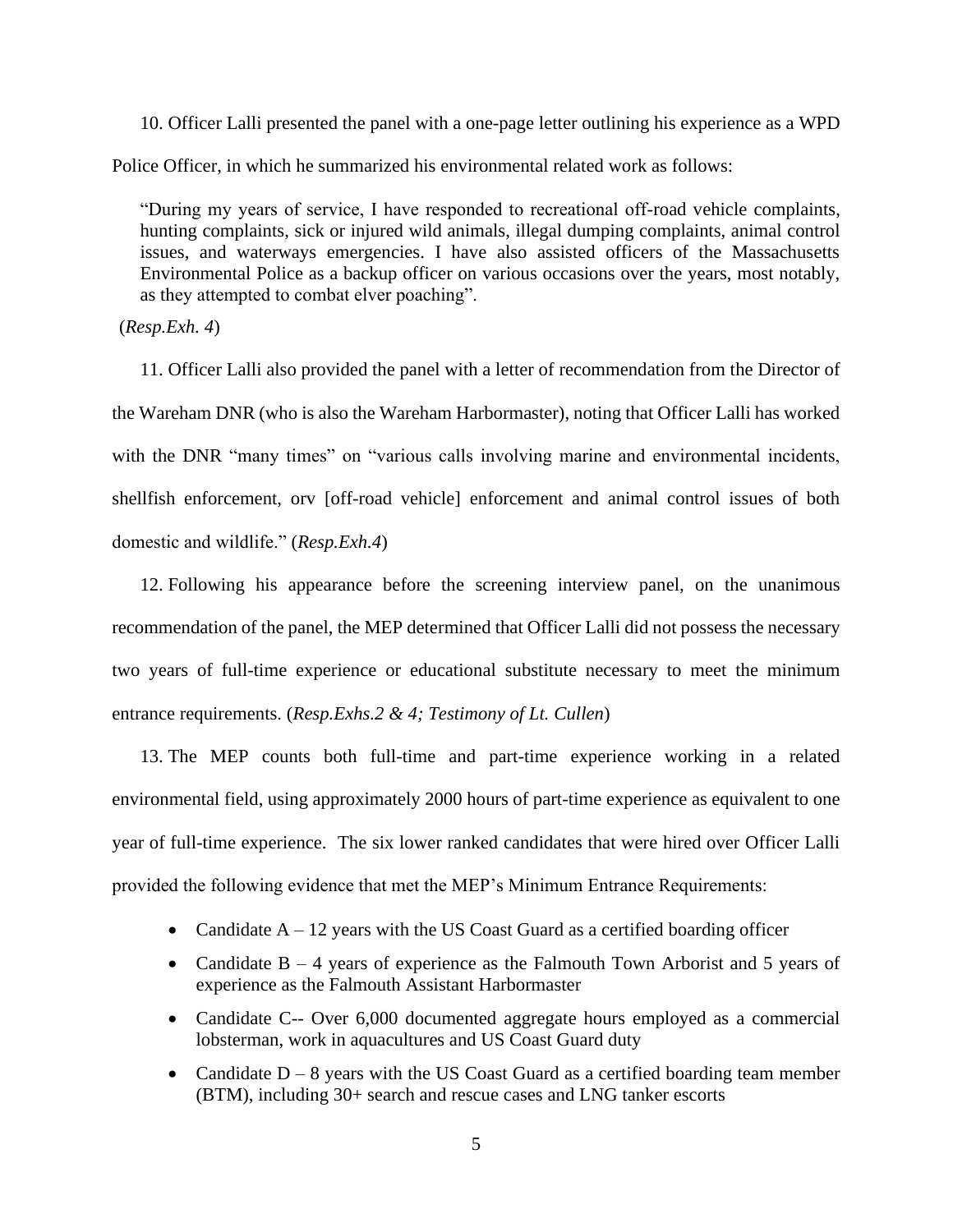10. Officer Lalli presented the panel with a one-page letter outlining his experience as a WPD Police Officer, in which he summarized his environmental related work as follows:

"During my years of service, I have responded to recreational off-road vehicle complaints, hunting complaints, sick or injured wild animals, illegal dumping complaints, animal control issues, and waterways emergencies. I have also assisted officers of the Massachusetts Environmental Police as a backup officer on various occasions over the years, most notably, as they attempted to combat elver poaching".

(*Resp.Exh. 4*)

11. Officer Lalli also provided the panel with a letter of recommendation from the Director of the Wareham DNR (who is also the Wareham Harbormaster), noting that Officer Lalli has worked with the DNR "many times" on "various calls involving marine and environmental incidents, shellfish enforcement, orv [off-road vehicle] enforcement and animal control issues of both domestic and wildlife." (*Resp.Exh.4*)

12. Following his appearance before the screening interview panel, on the unanimous recommendation of the panel, the MEP determined that Officer Lalli did not possess the necessary two years of full-time experience or educational substitute necessary to meet the minimum entrance requirements. (*Resp.Exhs.2 & 4; Testimony of Lt. Cullen*)

13. The MEP counts both full-time and part-time experience working in a related environmental field, using approximately 2000 hours of part-time experience as equivalent to one year of full-time experience. The six lower ranked candidates that were hired over Officer Lalli provided the following evidence that met the MEP's Minimum Entrance Requirements:

- Candidate  $A 12$  years with the US Coast Guard as a certified boarding officer
- Candidate  $B 4$  years of experience as the Falmouth Town Arborist and 5 years of experience as the Falmouth Assistant Harbormaster
- Candidate C-- Over 6,000 documented aggregate hours employed as a commercial lobsterman, work in aquacultures and US Coast Guard duty
- Candidate  $D 8$  years with the US Coast Guard as a certified boarding team member (BTM), including 30+ search and rescue cases and LNG tanker escorts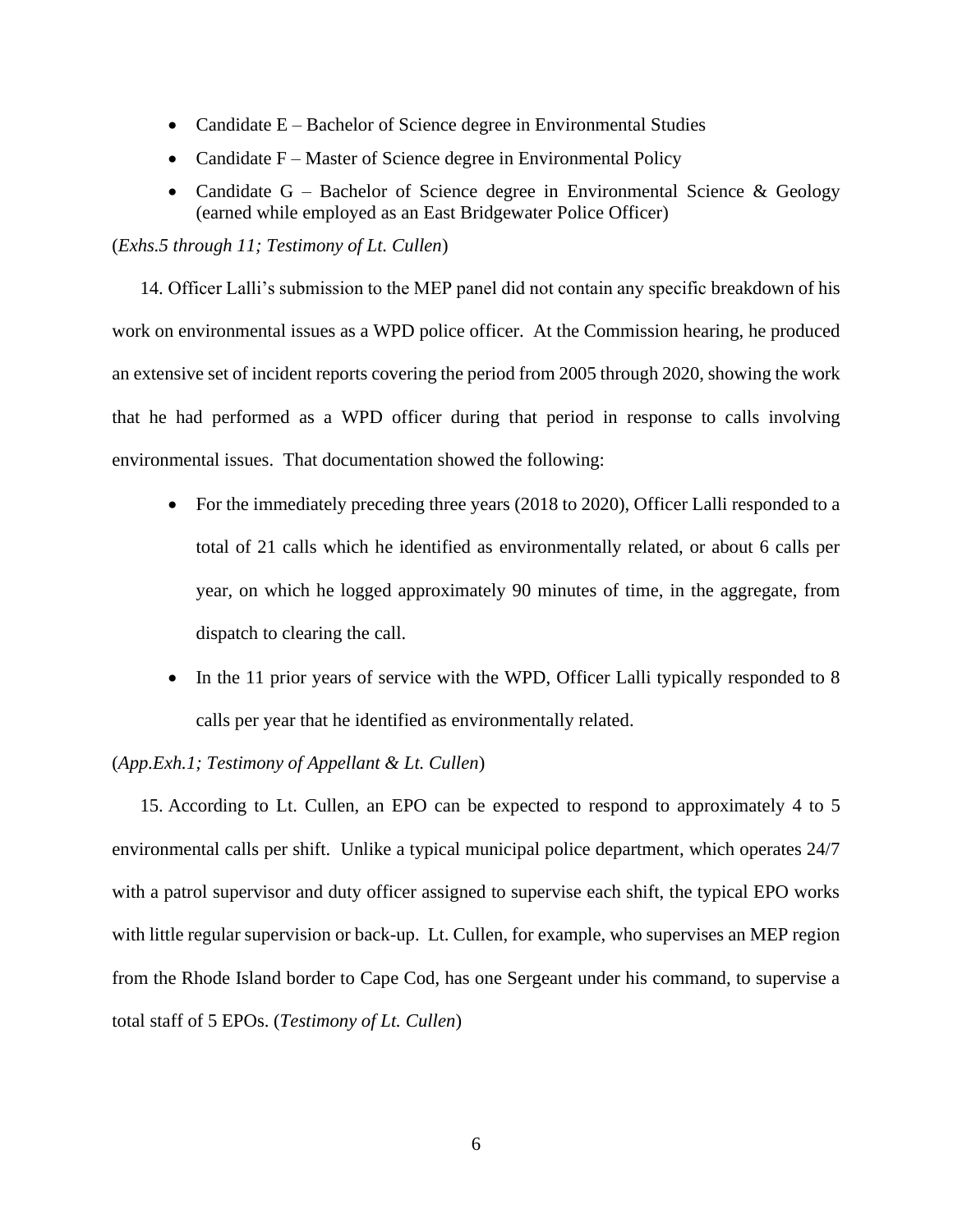- Candidate E Bachelor of Science degree in Environmental Studies
- Candidate F Master of Science degree in Environmental Policy
- Candidate  $G -$  Bachelor of Science degree in Environmental Science & Geology (earned while employed as an East Bridgewater Police Officer)

### (*Exhs.5 through 11; Testimony of Lt. Cullen*)

14. Officer Lalli's submission to the MEP panel did not contain any specific breakdown of his work on environmental issues as a WPD police officer. At the Commission hearing, he produced an extensive set of incident reports covering the period from 2005 through 2020, showing the work that he had performed as a WPD officer during that period in response to calls involving environmental issues. That documentation showed the following:

- For the immediately preceding three years (2018 to 2020), Officer Lalli responded to a total of 21 calls which he identified as environmentally related, or about 6 calls per year, on which he logged approximately 90 minutes of time, in the aggregate, from dispatch to clearing the call.
- In the 11 prior years of service with the WPD, Officer Lalli typically responded to 8 calls per year that he identified as environmentally related.

### (*App.Exh.1; Testimony of Appellant & Lt. Cullen*)

15. According to Lt. Cullen, an EPO can be expected to respond to approximately 4 to 5 environmental calls per shift. Unlike a typical municipal police department, which operates 24/7 with a patrol supervisor and duty officer assigned to supervise each shift, the typical EPO works with little regular supervision or back-up. Lt. Cullen, for example, who supervises an MEP region from the Rhode Island border to Cape Cod, has one Sergeant under his command, to supervise a total staff of 5 EPOs. (*Testimony of Lt. Cullen*)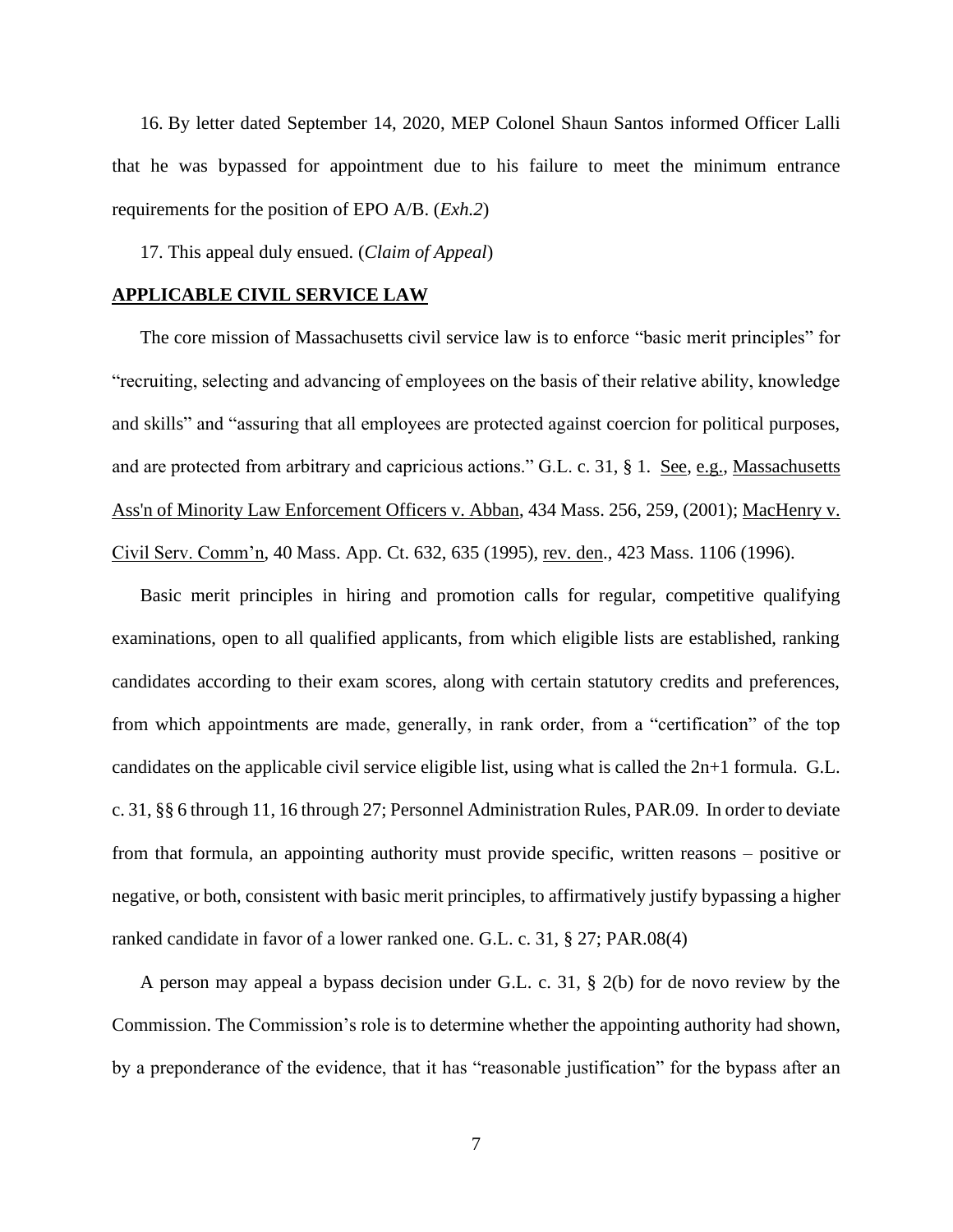16. By letter dated September 14, 2020, MEP Colonel Shaun Santos informed Officer Lalli that he was bypassed for appointment due to his failure to meet the minimum entrance requirements for the position of EPO A/B. (*Exh.2*)

17. This appeal duly ensued. (*Claim of Appeal*)

#### **APPLICABLE CIVIL SERVICE LAW**

The core mission of Massachusetts civil service law is to enforce "basic merit principles" for "recruiting, selecting and advancing of employees on the basis of their relative ability, knowledge and skills" and "assuring that all employees are protected against coercion for political purposes, and are protected from arbitrary and capricious actions." G.L. c. 31, § 1. See, e.g., [Massachusetts](http://web2.westlaw.com/find/default.wl?mt=Massachusetts&db=578&rs=WLW15.04&tc=-1&rp=%2ffind%2fdefault.wl&findtype=Y&ordoc=2029136022&serialnum=2001441097&vr=2.0&fn=_top&sv=Split&tf=-1&pbc=70F732C1&utid=1)  [Ass'n of Minority Law Enforcement Officers v. Abban,](http://web2.westlaw.com/find/default.wl?mt=Massachusetts&db=578&rs=WLW15.04&tc=-1&rp=%2ffind%2fdefault.wl&findtype=Y&ordoc=2029136022&serialnum=2001441097&vr=2.0&fn=_top&sv=Split&tf=-1&pbc=70F732C1&utid=1) 434 Mass. 256, 259, (2001); MacHenry v. Civil Serv. Comm'n, 40 Mass. App. Ct. 632, 635 (1995), rev. den., 423 Mass. 1106 (1996).

Basic merit principles in hiring and promotion calls for regular, competitive qualifying examinations, open to all qualified applicants, from which eligible lists are established, ranking candidates according to their exam scores, along with certain statutory credits and preferences, from which appointments are made, generally, in rank order, from a "certification" of the top candidates on the applicable civil service eligible list, using what is called the  $2n+1$  formula. G.L. c. 31, §§ 6 through 11, 16 through 27; Personnel Administration Rules, PAR.09. In order to deviate from that formula, an appointing authority must provide specific, written reasons – positive or negative, or both, consistent with basic merit principles, to affirmatively justify bypassing a higher ranked candidate in favor of a lower ranked one. G.L. c. 31, § 27; PAR.08(4)

A person may appeal a bypass decision under G.L. c. 31, § 2(b) for de novo review by the Commission. The Commission's role is to determine whether the appointing authority had shown, by a preponderance of the evidence, that it has "reasonable justification" for the bypass after an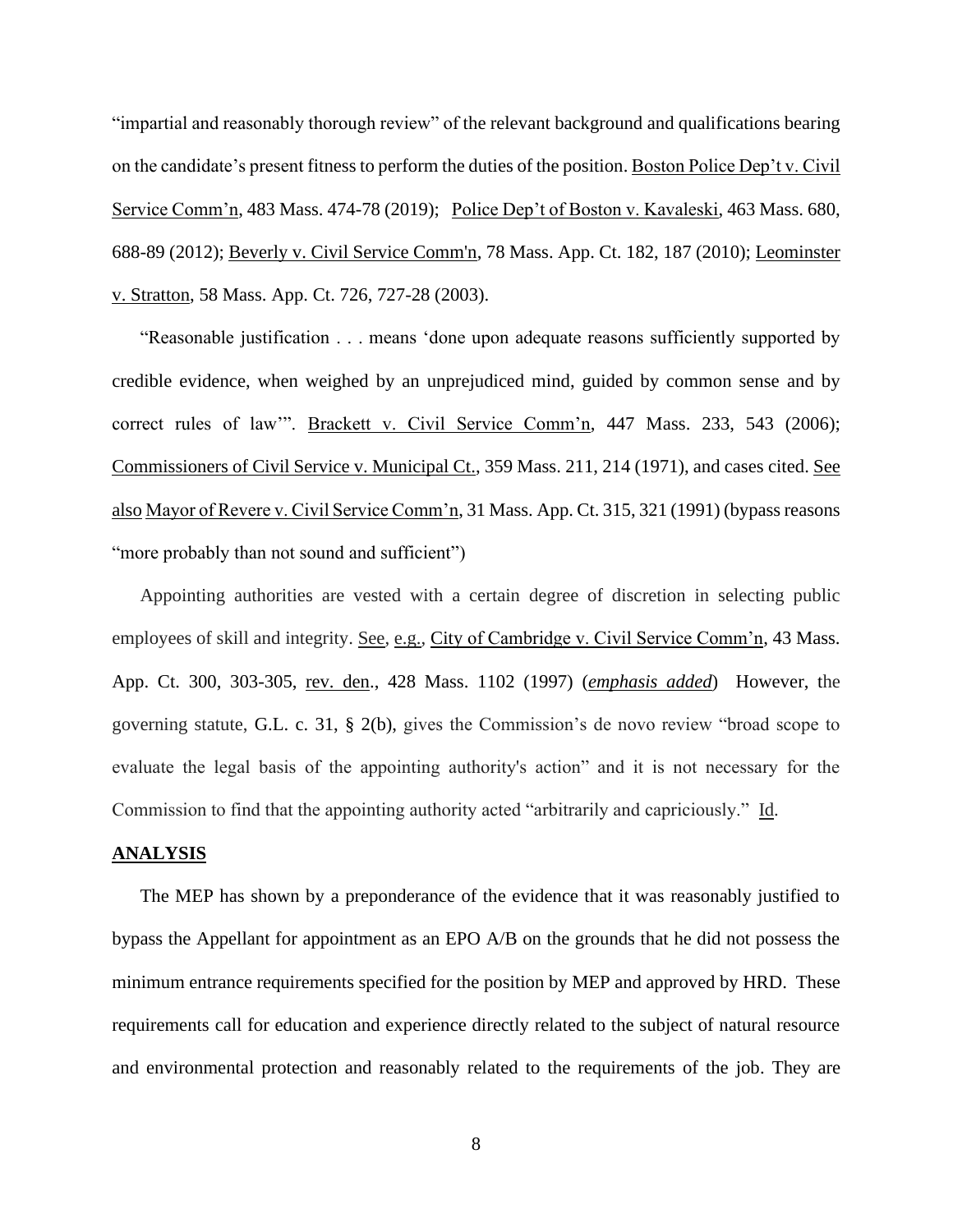"impartial and reasonably thorough review" of the relevant background and qualifications bearing on the candidate's present fitness to perform the duties of the position. Boston Police Dep't v. Civil Service Comm'n, 483 Mass. 474-78 (2019); Police Dep't of Boston v. Kavaleski, 463 Mass. 680, 688-89 (2012); [Beverly v. Civil Service Comm'n, 78 Mass.](http://web2.westlaw.com/find/default.wl?mt=Massachusetts&db=578&rs=WLW15.04&tc=-1&rp=%2ffind%2fdefault.wl&findtype=Y&ordoc=2029136022&serialnum=2023501172&vr=2.0&fn=_top&sv=Split&tf=-1&pbc=70F732C1&utid=1) App. Ct. 182, 187 (2010); Leominster v. Stratton, 58 Mass. App. Ct. 726, 727-28 (2003).

"Reasonable justification . . . means 'done upon adequate reasons sufficiently supported by credible evidence, when weighed by an unprejudiced mind, guided by common sense and by correct rules of law'". Brackett v. Civil Service Comm'n, 447 Mass. 233, 543 (2006); Commissioners of Civil Service v. Municipal Ct., 359 Mass. 211, 214 (1971), and cases cited. See also Mayor of Revere v. Civil Service Comm'n, 31 Mass. App. Ct. 315, 321 (1991) (bypass reasons "more probably than not sound and sufficient")

Appointing authorities are vested with a certain degree of discretion in selecting public employees of skill and integrity. See, e.g., City of Cambridge v. Civil Service Comm'n, 43 Mass. App. Ct. 300, 303-305, rev. den., 428 Mass. 1102 (1997) (*emphasis added*) However, the governing statute, [G.L.](https://1.next.westlaw.com/Link/Document/FullText?findType=L&pubNum=1000042&cite=MAST31S2&originatingDoc=Ib21af0ded3bd11d99439b076ef9ec4de&refType=LQ&originationContext=document&transitionType=DocumentItem&contextData=(sc.History*oc.UserEnteredCitation)) c. 31, § 2(b), gives the Commission's de novo review "broad scope to evaluate the legal basis of the appointing authority's action" and it is not necessary for the Commission to find that the appointing authority acted "arbitrarily and capriciously." Id.

#### **ANALYSIS**

The MEP has shown by a preponderance of the evidence that it was reasonably justified to bypass the Appellant for appointment as an EPO A/B on the grounds that he did not possess the minimum entrance requirements specified for the position by MEP and approved by HRD. These requirements call for education and experience directly related to the subject of natural resource and environmental protection and reasonably related to the requirements of the job. They are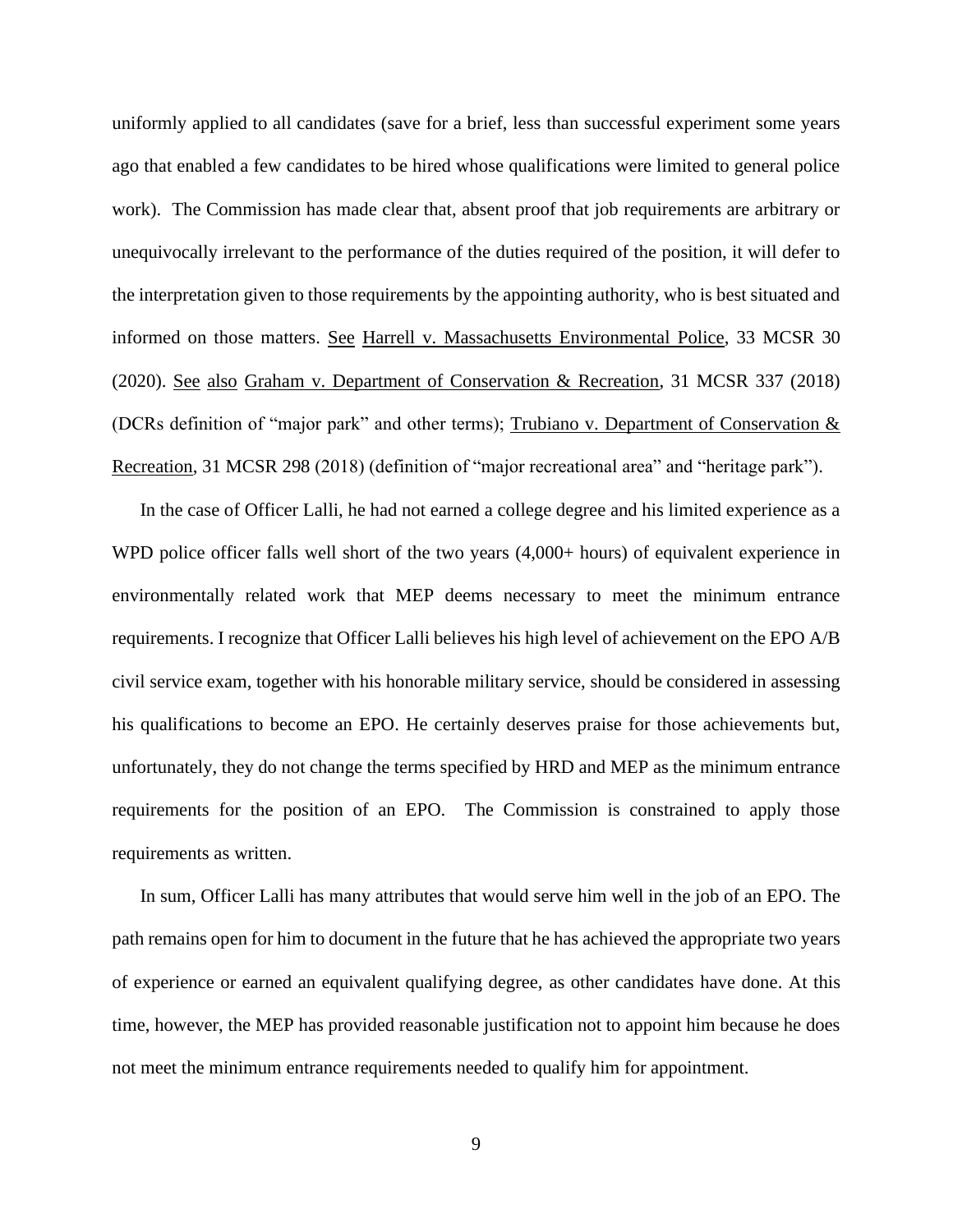uniformly applied to all candidates (save for a brief, less than successful experiment some years ago that enabled a few candidates to be hired whose qualifications were limited to general police work). The Commission has made clear that, absent proof that job requirements are arbitrary or unequivocally irrelevant to the performance of the duties required of the position, it will defer to the interpretation given to those requirements by the appointing authority, who is best situated and informed on those matters. See Harrell v. Massachusetts Environmental Police, 33 MCSR 30 (2020). See also Graham v. Department of Conservation & Recreation, 31 MCSR 337 (2018) (DCRs definition of "major park" and other terms); Trubiano v. Department of Conservation & Recreation, 31 MCSR 298 (2018) (definition of "major recreational area" and "heritage park").

In the case of Officer Lalli, he had not earned a college degree and his limited experience as a WPD police officer falls well short of the two years  $(4,000+$  hours) of equivalent experience in environmentally related work that MEP deems necessary to meet the minimum entrance requirements. I recognize that Officer Lalli believes his high level of achievement on the EPO A/B civil service exam, together with his honorable military service, should be considered in assessing his qualifications to become an EPO. He certainly deserves praise for those achievements but, unfortunately, they do not change the terms specified by HRD and MEP as the minimum entrance requirements for the position of an EPO. The Commission is constrained to apply those requirements as written.

In sum, Officer Lalli has many attributes that would serve him well in the job of an EPO. The path remains open for him to document in the future that he has achieved the appropriate two years of experience or earned an equivalent qualifying degree, as other candidates have done. At this time, however, the MEP has provided reasonable justification not to appoint him because he does not meet the minimum entrance requirements needed to qualify him for appointment.